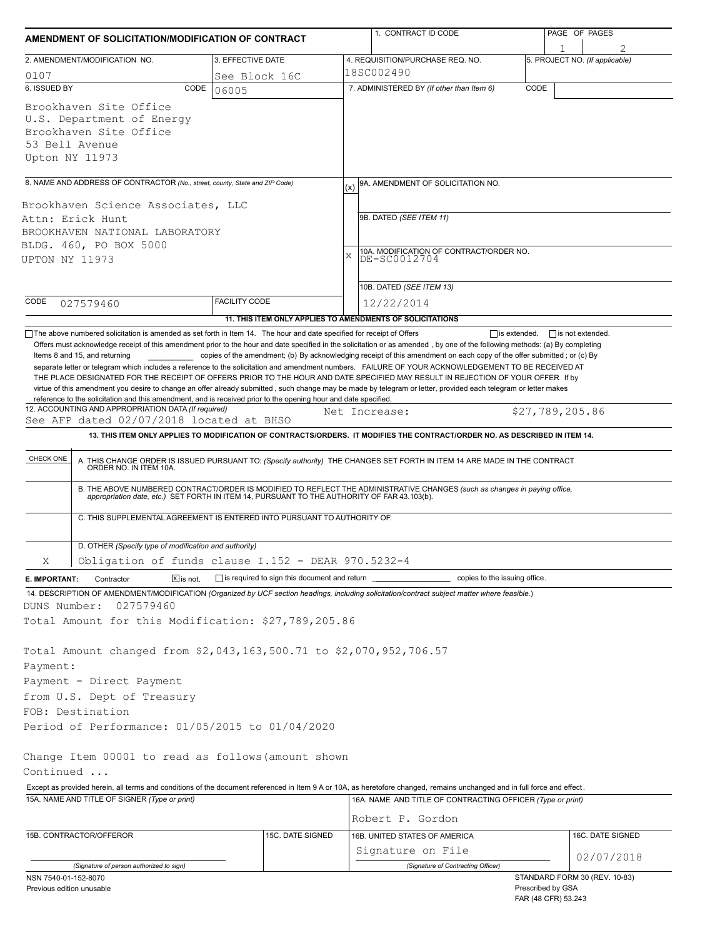| AMENDMENT OF SOLICITATION/MODIFICATION OF CONTRACT                                                                                               |                                              | 1. CONTRACT ID CODE                                                                                                                                                                                                                                                                                                                                                                                                                                                                                                                                                                 | PAGE OF PAGES                  |  |  |  |  |
|--------------------------------------------------------------------------------------------------------------------------------------------------|----------------------------------------------|-------------------------------------------------------------------------------------------------------------------------------------------------------------------------------------------------------------------------------------------------------------------------------------------------------------------------------------------------------------------------------------------------------------------------------------------------------------------------------------------------------------------------------------------------------------------------------------|--------------------------------|--|--|--|--|
| 2. AMENDMENT/MODIFICATION NO.                                                                                                                    | 3. EFFECTIVE DATE                            | 4. REQUISITION/PURCHASE REQ. NO.                                                                                                                                                                                                                                                                                                                                                                                                                                                                                                                                                    | 5. PROJECT NO. (If applicable) |  |  |  |  |
| 0107                                                                                                                                             | See Block 16C                                | 18SC002490                                                                                                                                                                                                                                                                                                                                                                                                                                                                                                                                                                          |                                |  |  |  |  |
| 6. ISSUED BY<br>CODE                                                                                                                             | 06005                                        | 7. ADMINISTERED BY (If other than Item 6)                                                                                                                                                                                                                                                                                                                                                                                                                                                                                                                                           | CODE                           |  |  |  |  |
| Brookhaven Site Office<br>U.S. Department of Energy<br>Brookhaven Site Office<br>53 Bell Avenue<br>Upton NY 11973                                |                                              |                                                                                                                                                                                                                                                                                                                                                                                                                                                                                                                                                                                     |                                |  |  |  |  |
| 8. NAME AND ADDRESS OF CONTRACTOR (No., street, county, State and ZIP Code)                                                                      |                                              | 9A. AMENDMENT OF SOLICITATION NO.                                                                                                                                                                                                                                                                                                                                                                                                                                                                                                                                                   |                                |  |  |  |  |
|                                                                                                                                                  |                                              | (x)                                                                                                                                                                                                                                                                                                                                                                                                                                                                                                                                                                                 |                                |  |  |  |  |
| Brookhaven Science Associates, LLC<br>Attn: Erick Hunt<br>BROOKHAVEN NATIONAL LABORATORY<br>BLDG. 460, PO BOX 5000<br>UPTON NY 11973             |                                              | 9B. DATED (SEE ITEM 11)<br>10A. MODIFICATION OF CONTRACT/ORDER NO.<br>X<br>DE-SC0012704                                                                                                                                                                                                                                                                                                                                                                                                                                                                                             |                                |  |  |  |  |
|                                                                                                                                                  |                                              |                                                                                                                                                                                                                                                                                                                                                                                                                                                                                                                                                                                     |                                |  |  |  |  |
|                                                                                                                                                  |                                              | 10B. DATED (SEE ITEM 13)                                                                                                                                                                                                                                                                                                                                                                                                                                                                                                                                                            |                                |  |  |  |  |
| CODE<br>027579460                                                                                                                                | <b>FACILITY CODE</b>                         | 12/22/2014<br>11. THIS ITEM ONLY APPLIES TO AMENDMENTS OF SOLICITATIONS                                                                                                                                                                                                                                                                                                                                                                                                                                                                                                             |                                |  |  |  |  |
| Items 8 and 15, and returning<br>reference to the solicitation and this amendment, and is received prior to the opening hour and date specified. |                                              | copies of the amendment; (b) By acknowledging receipt of this amendment on each copy of the offer submitted; or (c) By<br>separate letter or telegram which includes a reference to the solicitation and amendment numbers. FAILURE OF YOUR ACKNOWLEDGEMENT TO BE RECEIVED AT<br>THE PLACE DESIGNATED FOR THE RECEIPT OF OFFERS PRIOR TO THE HOUR AND DATE SPECIFIED MAY RESULT IN REJECTION OF YOUR OFFER If by<br>virtue of this amendment you desire to change an offer already submitted, such change may be made by telegram or letter, provided each telegram or letter makes |                                |  |  |  |  |
| 12. ACCOUNTING AND APPROPRIATION DATA (If required)<br>See AFP dated 02/07/2018 located at BHSO                                                  |                                              | Net Increase:                                                                                                                                                                                                                                                                                                                                                                                                                                                                                                                                                                       | \$27,789,205.86                |  |  |  |  |
|                                                                                                                                                  |                                              | 13. THIS ITEM ONLY APPLIES TO MODIFICATION OF CONTRACTS/ORDERS. IT MODIFIES THE CONTRACT/ORDER NO. AS DESCRIBED IN ITEM 14.                                                                                                                                                                                                                                                                                                                                                                                                                                                         |                                |  |  |  |  |
| C. THIS SUPPLEMENTAL AGREEMENT IS ENTERED INTO PURSUANT TO AUTHORITY OF:                                                                         |                                              | A. THIS CHANGE ORDER IS ISSUED PURSUANT TO: (Specify authority) THE CHANGES SET FORTH IN ITEM 14 ARE MADE IN THE CONTRACT ORDER NO. IN ITEM 10A.<br>B. THE ABOVE NUMBERED CONTRACT/ORDER IS MODIFIED TO REFLECT THE ADMINISTRATIVE CHANGES (such as changes in paying office,<br>appropriation date, etc.) SET FORTH IN ITEM 14, PURSUANT TO THE AUTHORITY OF FAR 43.103(b).                                                                                                                                                                                                        |                                |  |  |  |  |
| D. OTHER (Specify type of modification and authority)                                                                                            |                                              |                                                                                                                                                                                                                                                                                                                                                                                                                                                                                                                                                                                     |                                |  |  |  |  |
| Obligation of funds clause I.152 - DEAR 970.5232-4<br>Χ                                                                                          |                                              |                                                                                                                                                                                                                                                                                                                                                                                                                                                                                                                                                                                     |                                |  |  |  |  |
| Contractor<br>$X$ is not.<br>E. IMPORTANT:                                                                                                       | is required to sign this document and return | copies to the issuing office.                                                                                                                                                                                                                                                                                                                                                                                                                                                                                                                                                       |                                |  |  |  |  |
|                                                                                                                                                  |                                              | 14. DESCRIPTION OF AMENDMENT/MODIFICATION (Organized by UCF section headings, including solicitation/contract subject matter where feasible.)                                                                                                                                                                                                                                                                                                                                                                                                                                       |                                |  |  |  |  |
| DUNS Number:<br>027579460<br>Total Amount for this Modification: \$27,789,205.86                                                                 |                                              |                                                                                                                                                                                                                                                                                                                                                                                                                                                                                                                                                                                     |                                |  |  |  |  |
| Total Amount changed from \$2,043,163,500.71 to \$2,070,952,706.57<br>Payment:<br>Payment - Direct Payment                                       |                                              |                                                                                                                                                                                                                                                                                                                                                                                                                                                                                                                                                                                     |                                |  |  |  |  |
| from U.S. Dept of Treasury<br>FOB: Destination                                                                                                   |                                              |                                                                                                                                                                                                                                                                                                                                                                                                                                                                                                                                                                                     |                                |  |  |  |  |
| Period of Performance: 01/05/2015 to 01/04/2020                                                                                                  |                                              |                                                                                                                                                                                                                                                                                                                                                                                                                                                                                                                                                                                     |                                |  |  |  |  |
|                                                                                                                                                  |                                              |                                                                                                                                                                                                                                                                                                                                                                                                                                                                                                                                                                                     |                                |  |  |  |  |
| Change Item 00001 to read as follows (amount shown<br>Continued                                                                                  |                                              |                                                                                                                                                                                                                                                                                                                                                                                                                                                                                                                                                                                     |                                |  |  |  |  |
| 15A. NAME AND TITLE OF SIGNER (Type or print)                                                                                                    |                                              | Except as provided herein, all terms and conditions of the document referenced in Item 9 A or 10A, as heretofore changed, remains unchanged and in full force and effect.<br>16A. NAME AND TITLE OF CONTRACTING OFFICER (Type or print)                                                                                                                                                                                                                                                                                                                                             |                                |  |  |  |  |
|                                                                                                                                                  |                                              | Robert P. Gordon                                                                                                                                                                                                                                                                                                                                                                                                                                                                                                                                                                    |                                |  |  |  |  |
| 15B. CONTRACTOR/OFFEROR                                                                                                                          | 15C. DATE SIGNED                             | 16B. UNITED STATES OF AMERICA                                                                                                                                                                                                                                                                                                                                                                                                                                                                                                                                                       | 16C. DATE SIGNED               |  |  |  |  |
|                                                                                                                                                  |                                              | Signature on File                                                                                                                                                                                                                                                                                                                                                                                                                                                                                                                                                                   |                                |  |  |  |  |
| (Signature of person authorized to sign)                                                                                                         |                                              | (Signature of Contracting Officer)                                                                                                                                                                                                                                                                                                                                                                                                                                                                                                                                                  | 02/07/2018                     |  |  |  |  |
| NSN 7540-01-152-8070                                                                                                                             |                                              |                                                                                                                                                                                                                                                                                                                                                                                                                                                                                                                                                                                     | STANDARD FORM 30 (REV. 10-83)  |  |  |  |  |

| Previous edition unusable |
|---------------------------|
|---------------------------|